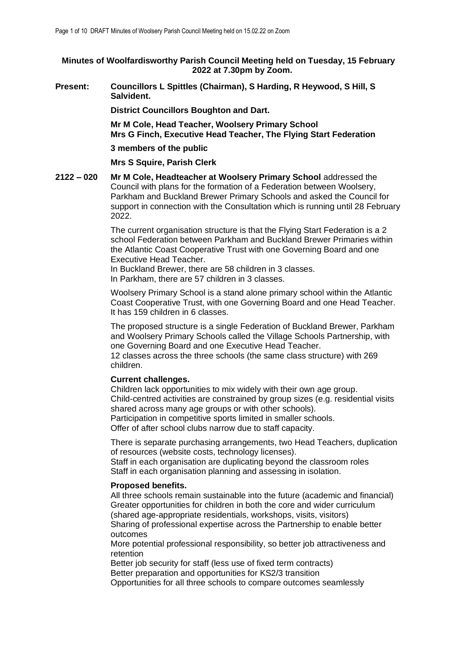**Minutes of Woolfardisworthy Parish Council Meeting held on Tuesday, 15 February 2022 at 7.30pm by Zoom.**

**Present: Councillors L Spittles (Chairman), S Harding, R Heywood, S Hill, S Salvident.**

**District Councillors Boughton and Dart.**

**Mr M Cole, Head Teacher, Woolsery Primary School Mrs G Finch, Executive Head Teacher, The Flying Start Federation**

#### **3 members of the public**

**Mrs S Squire, Parish Clerk** 

**2122 – 020 Mr M Cole, Headteacher at Woolsery Primary School** addressed the Council with plans for the formation of a Federation between Woolsery, Parkham and Buckland Brewer Primary Schools and asked the Council for support in connection with the Consultation which is running until 28 February 2022.

> The current organisation structure is that the Flying Start Federation is a 2 school Federation between Parkham and Buckland Brewer Primaries within the Atlantic Coast Cooperative Trust with one Governing Board and one Executive Head Teacher.

In Buckland Brewer, there are 58 children in 3 classes. In Parkham, there are 57 children in 3 classes.

Woolsery Primary School is a stand alone primary school within the Atlantic Coast Cooperative Trust, with one Governing Board and one Head Teacher. It has 159 children in 6 classes.

The proposed structure is a single Federation of Buckland Brewer, Parkham and Woolsery Primary Schools called the Village Schools Partnership, with one Governing Board and one Executive Head Teacher.

12 classes across the three schools (the same class structure) with 269 children.

# **Current challenges.**

Children lack opportunities to mix widely with their own age group. Child-centred activities are constrained by group sizes (e.g. residential visits shared across many age groups or with other schools). Participation in competitive sports limited in smaller schools.

Offer of after school clubs narrow due to staff capacity.

There is separate purchasing arrangements, two Head Teachers, duplication of resources (website costs, technology licenses).

Staff in each organisation are duplicating beyond the classroom roles Staff in each organisation planning and assessing in isolation.

# **Proposed benefits.**

All three schools remain sustainable into the future (academic and financial) Greater opportunities for children in both the core and wider curriculum (shared age-appropriate residentials, workshops, visits, visitors) Sharing of professional expertise across the Partnership to enable better outcomes

More potential professional responsibility, so better job attractiveness and retention

Better job security for staff (less use of fixed term contracts) Better preparation and opportunities for KS2/3 transition

Opportunities for all three schools to compare outcomes seamlessly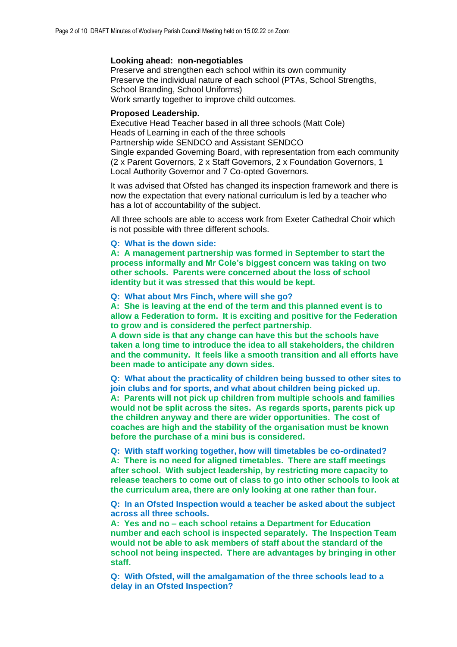#### **Looking ahead: non-negotiables**

Preserve and strengthen each school within its own community Preserve the individual nature of each school (PTAs, School Strengths, School Branding, School Uniforms) Work smartly together to improve child outcomes.

#### **Proposed Leadership.**

Executive Head Teacher based in all three schools (Matt Cole) Heads of Learning in each of the three schools Partnership wide SENDCO and Assistant SENDCO Single expanded Governing Board, with representation from each community (2 x Parent Governors, 2 x Staff Governors, 2 x Foundation Governors, 1 Local Authority Governor and 7 Co-opted Governors.

It was advised that Ofsted has changed its inspection framework and there is now the expectation that every national curriculum is led by a teacher who has a lot of accountability of the subject.

All three schools are able to access work from Exeter Cathedral Choir which is not possible with three different schools.

#### **Q: What is the down side:**

**A: A management partnership was formed in September to start the process informally and Mr Cole's biggest concern was taking on two other schools. Parents were concerned about the loss of school identity but it was stressed that this would be kept.**

#### **Q: What about Mrs Finch, where will she go?**

**A: She is leaving at the end of the term and this planned event is to allow a Federation to form. It is exciting and positive for the Federation to grow and is considered the perfect partnership.** 

**A down side is that any change can have this but the schools have taken a long time to introduce the idea to all stakeholders, the children and the community. It feels like a smooth transition and all efforts have been made to anticipate any down sides.** 

**Q: What about the practicality of children being bussed to other sites to join clubs and for sports, and what about children being picked up. A: Parents will not pick up children from multiple schools and families would not be split across the sites. As regards sports, parents pick up the children anyway and there are wider opportunities. The cost of coaches are high and the stability of the organisation must be known before the purchase of a mini bus is considered.** 

**Q: With staff working together, how will timetables be co-ordinated? A: There is no need for aligned timetables. There are staff meetings after school. With subject leadership, by restricting more capacity to release teachers to come out of class to go into other schools to look at the curriculum area, there are only looking at one rather than four.**

**Q: In an Ofsted Inspection would a teacher be asked about the subject across all three schools.**

**A: Yes and no – each school retains a Department for Education number and each school is inspected separately. The Inspection Team would not be able to ask members of staff about the standard of the school not being inspected. There are advantages by bringing in other staff.** 

**Q: With Ofsted, will the amalgamation of the three schools lead to a delay in an Ofsted Inspection?**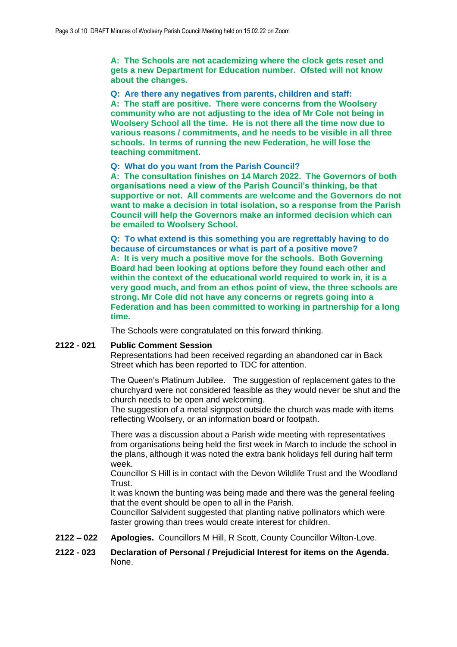**A: The Schools are not academizing where the clock gets reset and gets a new Department for Education number. Ofsted will not know about the changes.** 

**Q: Are there any negatives from parents, children and staff: A: The staff are positive. There were concerns from the Woolsery community who are not adjusting to the idea of Mr Cole not being in Woolsery School all the time. He is not there all the time now due to various reasons / commitments, and he needs to be visible in all three schools. In terms of running the new Federation, he will lose the teaching commitment.** 

#### **Q: What do you want from the Parish Council?**

**A: The consultation finishes on 14 March 2022. The Governors of both organisations need a view of the Parish Council's thinking, be that supportive or not. All comments are welcome and the Governors do not want to make a decision in total isolation, so a response from the Parish Council will help the Governors make an informed decision which can be emailed to Woolsery School.** 

**Q: To what extend is this something you are regrettably having to do because of circumstances or what is part of a positive move? A: It is very much a positive move for the schools. Both Governing Board had been looking at options before they found each other and within the context of the educational world required to work in, it is a very good much, and from an ethos point of view, the three schools are strong. Mr Cole did not have any concerns or regrets going into a Federation and has been committed to working in partnership for a long time.** 

The Schools were congratulated on this forward thinking.

## **2122 - 021 Public Comment Session**

Representations had been received regarding an abandoned car in Back Street which has been reported to TDC for attention.

The Queen's Platinum Jubilee. The suggestion of replacement gates to the churchyard were not considered feasible as they would never be shut and the church needs to be open and welcoming.

The suggestion of a metal signpost outside the church was made with items reflecting Woolsery, or an information board or footpath.

There was a discussion about a Parish wide meeting with representatives from organisations being held the first week in March to include the school in the plans, although it was noted the extra bank holidays fell during half term week.

Councillor S Hill is in contact with the Devon Wildlife Trust and the Woodland Trust.

It was known the bunting was being made and there was the general feeling that the event should be open to all in the Parish.

Councillor Salvident suggested that planting native pollinators which were faster growing than trees would create interest for children.

**2122 – 022 Apologies.** Councillors M Hill, R Scott, County Councillor Wilton-Love.

## **2122 - 023 Declaration of Personal / Prejudicial Interest for items on the Agenda.**  None.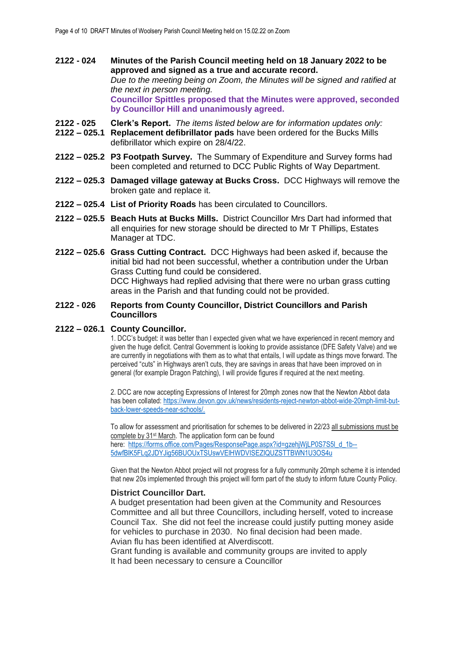- **2122 - 024 Minutes of the Parish Council meeting held on 18 January 2022 to be approved and signed as a true and accurate record.** *Due to the meeting being on Zoom, the Minutes will be signed and ratified at the next in person meeting.* **Councillor Spittles proposed that the Minutes were approved, seconded by Councillor Hill and unanimously agreed.**
- **2122 - 025 Clerk's Report.** *The items listed below are for information updates only:*
- **2122 – 025.1 Replacement defibrillator pads** have been ordered for the Bucks Mills defibrillator which expire on 28/4/22.
- **2122 – 025.2 P3 Footpath Survey.** The Summary of Expenditure and Survey forms had been completed and returned to DCC Public Rights of Way Department.
- **2122 – 025.3 Damaged village gateway at Bucks Cross.** DCC Highways will remove the broken gate and replace it.
- **2122 – 025.4 List of Priority Roads** has been circulated to Councillors.
- **2122 – 025.5 Beach Huts at Bucks Mills.** District Councillor Mrs Dart had informed that all enquiries for new storage should be directed to Mr T Phillips, Estates Manager at TDC.
- **2122 – 025.6 Grass Cutting Contract.** DCC Highways had been asked if, because the initial bid had not been successful, whether a contribution under the Urban Grass Cutting fund could be considered. DCC Highways had replied advising that there were no urban grass cutting areas in the Parish and that funding could not be provided.

## **2122 - 026 Reports from County Councillor, District Councillors and Parish Councillors**

## **2122 – 026.1 County Councillor.**

1. DCC's budget: it was better than I expected given what we have experienced in recent memory and given the huge deficit. Central Government is looking to provide assistance (DFE Safety Valve) and we are currently in negotiations with them as to what that entails, I will update as things move forward. The perceived "cuts" in Highways aren't cuts, they are savings in areas that have been improved on in general (for example Dragon Patching), I will provide figures if required at the next meeting.

2. DCC are now accepting Expressions of Interest for 20mph zones now that the Newton Abbot data has been collated: [https://www.devon.gov.uk/news/residents-reject-newton-abbot-wide-20mph-limit-but](https://www.devon.gov.uk/news/residents-reject-newton-abbot-wide-20mph-limit-but-back-lower-speeds-near-schools/)[back-lower-speeds-near-schools/.](https://www.devon.gov.uk/news/residents-reject-newton-abbot-wide-20mph-limit-but-back-lower-speeds-near-schools/)

To allow for assessment and prioritisation for schemes to be delivered in 22/23 all submissions must be complete by 31st March. The application form can be found here: [https://forms.office.com/Pages/ResponsePage.aspx?id=gzehjWjLP0S7S5l\\_d\\_1b--](https://eur02.safelinks.protection.outlook.com/?url=https%3A%2F%2Fforms.office.com%2FPages%2FResponsePage.aspx%3Fid%3DgzehjWjLP0S7S5l_d_1b--5dwfBlK5FLq2JDYJig56BUOUxTSUswVElHWDVISEZIQUZSTTBWN1U3OS4u&data=04%7C01%7CJeffrey.Wilton-Love%40devon.gov.uk%7C03565f70409c4ed5e74508d9ea61fb96%7C8da13783cb68443fbb4b997f77fd5bfb%7C0%7C0%7C637798528824441318%7CUnknown%7CTWFpbGZsb3d8eyJWIjoiMC4wLjAwMDAiLCJQIjoiV2luMzIiLCJBTiI6Ik1haWwiLCJXVCI6Mn0%3D%7C3000&sdata=R1avoBynSCYNi3Qym3iRvYH0%2Bi7ufdSCuGj%2FFJ4T0Rg%3D&reserved=0) [5dwfBlK5FLq2JDYJig56BUOUxTSUswVElHWDVISEZIQUZSTTBWN1U3OS4u](https://eur02.safelinks.protection.outlook.com/?url=https%3A%2F%2Fforms.office.com%2FPages%2FResponsePage.aspx%3Fid%3DgzehjWjLP0S7S5l_d_1b--5dwfBlK5FLq2JDYJig56BUOUxTSUswVElHWDVISEZIQUZSTTBWN1U3OS4u&data=04%7C01%7CJeffrey.Wilton-Love%40devon.gov.uk%7C03565f70409c4ed5e74508d9ea61fb96%7C8da13783cb68443fbb4b997f77fd5bfb%7C0%7C0%7C637798528824441318%7CUnknown%7CTWFpbGZsb3d8eyJWIjoiMC4wLjAwMDAiLCJQIjoiV2luMzIiLCJBTiI6Ik1haWwiLCJXVCI6Mn0%3D%7C3000&sdata=R1avoBynSCYNi3Qym3iRvYH0%2Bi7ufdSCuGj%2FFJ4T0Rg%3D&reserved=0)

Given that the Newton Abbot project will not progress for a fully community 20mph scheme it is intended that new 20s implemented through this project will form part of the study to inform future County Policy.

#### **District Councillor Dart.**

A budget presentation had been given at the Community and Resources Committee and all but three Councillors, including herself, voted to increase Council Tax. She did not feel the increase could justify putting money aside for vehicles to purchase in 2030. No final decision had been made. Avian flu has been identified at Alverdiscott.

Grant funding is available and community groups are invited to apply It had been necessary to censure a Councillor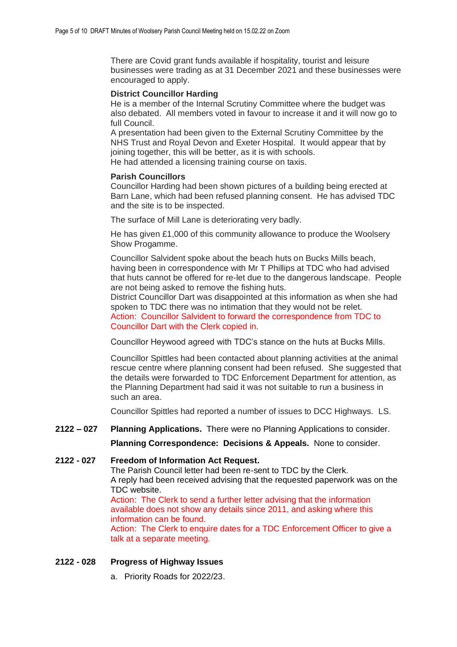There are Covid grant funds available if hospitality, tourist and leisure businesses were trading as at 31 December 2021 and these businesses were encouraged to apply.

## **District Councillor Harding**

He is a member of the Internal Scrutiny Committee where the budget was also debated. All members voted in favour to increase it and it will now go to full Council.

A presentation had been given to the External Scrutiny Committee by the NHS Trust and Royal Devon and Exeter Hospital. It would appear that by joining together, this will be better, as it is with schools.

He had attended a licensing training course on taxis.

### **Parish Councillors**

Councillor Harding had been shown pictures of a building being erected at Barn Lane, which had been refused planning consent. He has advised TDC and the site is to be inspected.

The surface of Mill Lane is deteriorating very badly.

He has given £1,000 of this community allowance to produce the Woolsery Show Progamme.

Councillor Salvident spoke about the beach huts on Bucks Mills beach, having been in correspondence with Mr T Phillips at TDC who had advised that huts cannot be offered for re-let due to the dangerous landscape. People are not being asked to remove the fishing huts.

District Councillor Dart was disappointed at this information as when she had spoken to TDC there was no intimation that they would not be relet. Action: Councillor Salvident to forward the correspondence from TDC to Councillor Dart with the Clerk copied in.

Councillor Heywood agreed with TDC's stance on the huts at Bucks Mills.

Councillor Spittles had been contacted about planning activities at the animal rescue centre where planning consent had been refused. She suggested that the details were forwarded to TDC Enforcement Department for attention, as the Planning Department had said it was not suitable to run a business in such an area.

Councillor Spittles had reported a number of issues to DCC Highways. LS.

# **2122 – 027 Planning Applications.** There were no Planning Applications to consider.

**Planning Correspondence: Decisions & Appeals.** None to consider.

# **2122 - 027 Freedom of Information Act Request.**

The Parish Council letter had been re-sent to TDC by the Clerk. A reply had been received advising that the requested paperwork was on the TDC website.

Action: The Clerk to send a further letter advising that the information available does not show any details since 2011, and asking where this information can be found.

Action: The Clerk to enquire dates for a TDC Enforcement Officer to give a talk at a separate meeting.

## **2122 - 028 Progress of Highway Issues**

a. Priority Roads for 2022/23.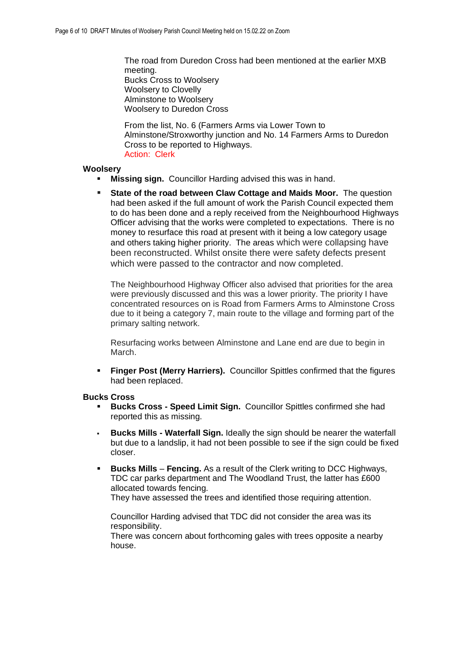The road from Duredon Cross had been mentioned at the earlier MXB meeting. Bucks Cross to Woolsery Woolsery to Clovelly Alminstone to Woolsery Woolsery to Duredon Cross

From the list, No. 6 (Farmers Arms via Lower Town to Alminstone/Stroxworthy junction and No. 14 Farmers Arms to Duredon Cross to be reported to Highways. Action: Clerk

## **Woolsery**

- **Missing sign.** Councillor Harding advised this was in hand.
- **State of the road between Claw Cottage and Maids Moor.** The question had been asked if the full amount of work the Parish Council expected them to do has been done and a reply received from the Neighbourhood Highways Officer advising that the works were completed to expectations. There is no money to resurface this road at present with it being a low category usage and others taking higher priority. The areas which were collapsing have been reconstructed. Whilst onsite there were safety defects present which were passed to the contractor and now completed.

The Neighbourhood Highway Officer also advised that priorities for the area were previously discussed and this was a lower priority. The priority I have concentrated resources on is Road from Farmers Arms to Alminstone Cross due to it being a category 7, main route to the village and forming part of the primary salting network.

Resurfacing works between Alminstone and Lane end are due to begin in March.

**Finger Post (Merry Harriers).** Councillor Spittles confirmed that the figures had been replaced.

## **Bucks Cross**

- **Bucks Cross - Speed Limit Sign.** Councillor Spittles confirmed she had reported this as missing.
- **Bucks Mills Waterfall Sign.** Ideally the sign should be nearer the waterfall but due to a landslip, it had not been possible to see if the sign could be fixed closer.
- **Bucks Mills Fencing.** As a result of the Clerk writing to DCC Highways, TDC car parks department and The Woodland Trust, the latter has £600 allocated towards fencing. They have assessed the trees and identified those requiring attention.

Councillor Harding advised that TDC did not consider the area was its responsibility.

There was concern about forthcoming gales with trees opposite a nearby house.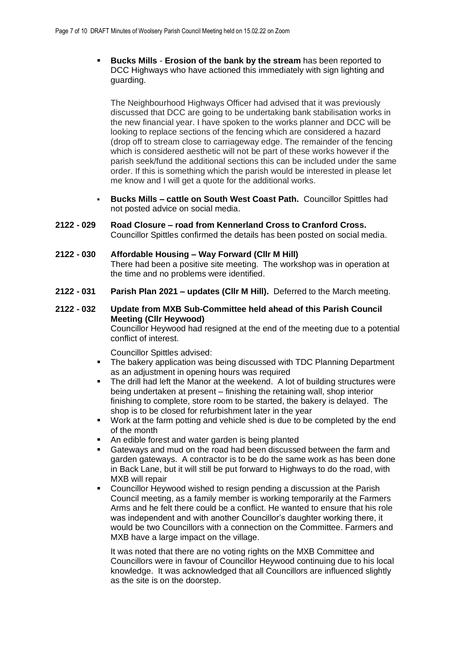**Bucks Mills** - **Erosion of the bank by the stream** has been reported to DCC Highways who have actioned this immediately with sign lighting and guarding.

The Neighbourhood Highways Officer had advised that it was previously discussed that DCC are going to be undertaking bank stabilisation works in the new financial year. I have spoken to the works planner and DCC will be looking to replace sections of the fencing which are considered a hazard (drop off to stream close to carriageway edge. The remainder of the fencing which is considered aesthetic will not be part of these works however if the parish seek/fund the additional sections this can be included under the same order. If this is something which the parish would be interested in please let me know and I will get a quote for the additional works.

- **Bucks Mills – cattle on South West Coast Path.** Councillor Spittles had not posted advice on social media.
- **2122 - 029 Road Closure – road from Kennerland Cross to Cranford Cross.** Councillor Spittles confirmed the details has been posted on social media.
- **2122 - 030 Affordable Housing – Way Forward (Cllr M Hill)** There had been a positive site meeting. The workshop was in operation at the time and no problems were identified.
- **2122 - 031 Parish Plan 2021 – updates (Cllr M Hill).** Deferred to the March meeting.

# **2122 - 032 Update from MXB Sub-Committee held ahead of this Parish Council Meeting (Cllr Heywood)**

Councillor Heywood had resigned at the end of the meeting due to a potential conflict of interest.

Councillor Spittles advised:

- The bakery application was being discussed with TDC Planning Department as an adjustment in opening hours was required
- The drill had left the Manor at the weekend. A lot of building structures were being undertaken at present – finishing the retaining wall, shop interior finishing to complete, store room to be started, the bakery is delayed. The shop is to be closed for refurbishment later in the year
- Work at the farm potting and vehicle shed is due to be completed by the end of the month
- An edible forest and water garden is being planted
- Gateways and mud on the road had been discussed between the farm and garden gateways. A contractor is to be do the same work as has been done in Back Lane, but it will still be put forward to Highways to do the road, with MXB will repair
- Councillor Heywood wished to resign pending a discussion at the Parish Council meeting, as a family member is working temporarily at the Farmers Arms and he felt there could be a conflict. He wanted to ensure that his role was independent and with another Councillor's daughter working there, it would be two Councillors with a connection on the Committee. Farmers and MXB have a large impact on the village.

It was noted that there are no voting rights on the MXB Committee and Councillors were in favour of Councillor Heywood continuing due to his local knowledge. It was acknowledged that all Councillors are influenced slightly as the site is on the doorstep.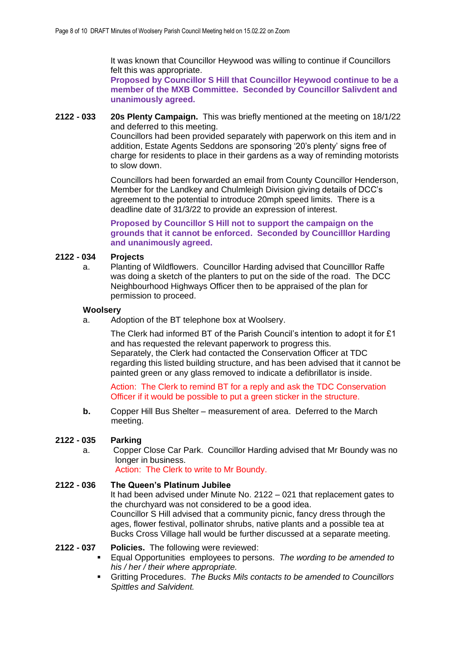It was known that Councillor Heywood was willing to continue if Councillors felt this was appropriate.

**Proposed by Councillor S Hill that Councillor Heywood continue to be a member of the MXB Committee. Seconded by Councillor Salivdent and unanimously agreed.**

**2122 - 033 20s Plenty Campaign.** This was briefly mentioned at the meeting on 18/1/22 and deferred to this meeting.

> Councillors had been provided separately with paperwork on this item and in addition, Estate Agents Seddons are sponsoring '20's plenty' signs free of charge for residents to place in their gardens as a way of reminding motorists to slow down.

> Councillors had been forwarded an email from County Councillor Henderson, Member for the Landkey and Chulmleigh Division giving details of DCC's agreement to the potential to introduce 20mph speed limits. There is a deadline date of 31/3/22 to provide an expression of interest.

**Proposed by Councillor S Hill not to support the campaign on the grounds that it cannot be enforced. Seconded by Councilllor Harding and unanimously agreed.** 

# **2122 - 034 Projects**

a. Planting of Wildflowers. Councillor Harding advised that Councilllor Raffe was doing a sketch of the planters to put on the side of the road. The DCC Neighbourhood Highways Officer then to be appraised of the plan for permission to proceed.

#### **Woolsery**

a. Adoption of the BT telephone box at Woolsery.

The Clerk had informed BT of the Parish Council's intention to adopt it for £1 and has requested the relevant paperwork to progress this. Separately, the Clerk had contacted the Conservation Officer at TDC regarding this listed building structure, and has been advised that it cannot be painted green or any glass removed to indicate a defibrillator is inside.

Action: The Clerk to remind BT for a reply and ask the TDC Conservation Officer if it would be possible to put a green sticker in the structure.

**b.** Copper Hill Bus Shelter – measurement of area. Deferred to the March meeting.

## **2122 - 035 Parking**

a. Copper Close Car Park. Councillor Harding advised that Mr Boundy was no longer in business.

Action: The Clerk to write to Mr Boundy.

# **2122 - 036 The Queen's Platinum Jubilee**

It had been advised under Minute No. 2122 – 021 that replacement gates to the churchyard was not considered to be a good idea. Councillor S Hill advised that a community picnic, fancy dress through the

ages, flower festival, pollinator shrubs, native plants and a possible tea at Bucks Cross Village hall would be further discussed at a separate meeting.

## **2122 - 037 Policies.** The following were reviewed:

- Equal Opportunities employees to persons. *The wording to be amended to his / her / their where appropriate.*
- Gritting Procedures. *The Bucks Mils contacts to be amended to Councillors Spittles and Salvident.*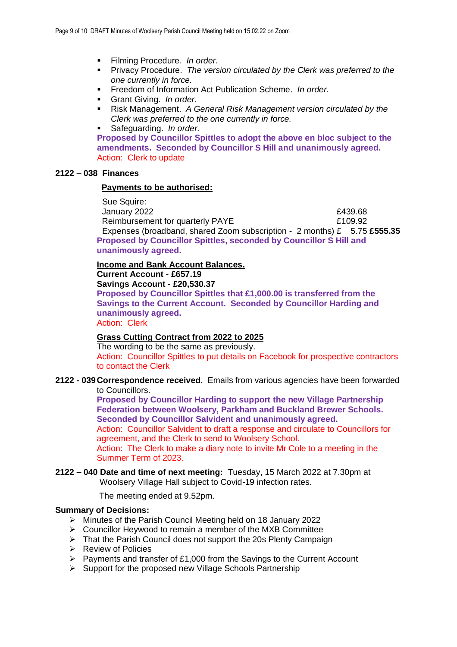- Filming Procedure. *In order.*
- Privacy Procedure. *The version circulated by the Clerk was preferred to the one currently in force.*
- Freedom of Information Act Publication Scheme. *In order.*
- Grant Giving. *In order.*
- Risk Management. *A General Risk Management version circulated by the Clerk was preferred to the one currently in force.*
- Safeguarding. *In order.*

**Proposed by Councillor Spittles to adopt the above en bloc subject to the amendments. Seconded by Councillor S Hill and unanimously agreed.**  Action: Clerk to update

# **2122 – 038 Finances**

#### **Payments to be authorised:**

 Sue Squire: January 2022 £439.68 Reimbursement for quarterly PAYE **E109.92**  Expenses (broadband, shared Zoom subscription - 2 months) £ 5.75 **£555.35 Proposed by Councillor Spittles, seconded by Councillor S Hill and unanimously agreed.** 

## **Income and Bank Account Balances.**

**Current Account - £657.19**

**Savings Account - £20,530.37**

**Proposed by Councillor Spittles that £1,000.00 is transferred from the Savings to the Current Account. Seconded by Councillor Harding and unanimously agreed.** 

Action: Clerk

# **Grass Cutting Contract from 2022 to 2025**

The wording to be the same as previously. Action: Councillor Spittles to put details on Facebook for prospective contractors to contact the Clerk

**2122 - 039Correspondence received.** Emails from various agencies have been forwarded to Councillors.

**Proposed by Councillor Harding to support the new Village Partnership Federation between Woolsery, Parkham and Buckland Brewer Schools. Seconded by Councillor Salvident and unanimously agreed.** Action: Councillor Salvident to draft a response and circulate to Councillors for agreement, and the Clerk to send to Woolsery School. Action: The Clerk to make a diary note to invite Mr Cole to a meeting in the Summer Term of 2023.

## **2122 – 040 Date and time of next meeting:** Tuesday, 15 March 2022 at 7.30pm at Woolsery Village Hall subject to Covid-19 infection rates.

The meeting ended at 9.52pm.

## **Summary of Decisions:**

- ➢ Minutes of the Parish Council Meeting held on 18 January 2022
- ➢ Councillor Heywood to remain a member of the MXB Committee
- ➢ That the Parish Council does not support the 20s Plenty Campaign
- ➢ Review of Policies
- ➢ Payments and transfer of £1,000 from the Savings to the Current Account
- ➢ Support for the proposed new Village Schools Partnership